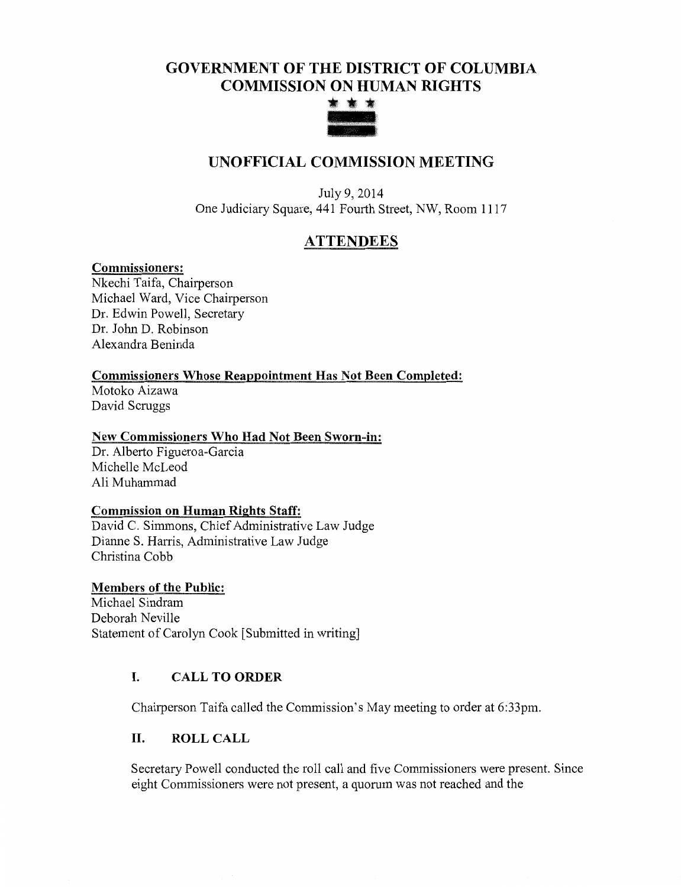## GOVERNMENT OF THE DISTRICT OF COLUMBIA COMMISSION ON HUMAN RIGHTS



## UNOFFICIAL COMMISSION MEETING

July 9, 2014 One Judiciary Square, 441 Fourth Street, NW, Room 1117

# **ATTENDEES**

#### Commissioners:

Nkechi Taifa, Chairperson Michael Ward, Vice Chairperson Dr. Edwin Powell, Secretary Dr. John D. Robinson Alexandra Beninda

#### Commissioners Whose Reappointment Has Not Been Completed:

Motoko Aizawa David Scruggs

#### New Commissioners Who Had Not Been Sworn-in:

Dr. Alberto Figueroa-Garcia Michelle McLeod Ali Muhammad

#### Commission on Human Rights Staff:

David C. Simmons, Chief Administrative Law Judge Dianne S. Harris, Administrative Law Judge Christina Cobb

#### Members of the Public:

Michael Sindram Deborah Neville Statement of Carolyn Cook [Submitted in writing]

#### I. CALL TO ORDER

Chairperson Taifa called the Commission's May meeting to order at 6:33pm.

#### II. ROLL CALL

Secretary Powell conducted the roll call and five Commissioners were present. Since eight Commissioners were not present, a quorum was not reached and the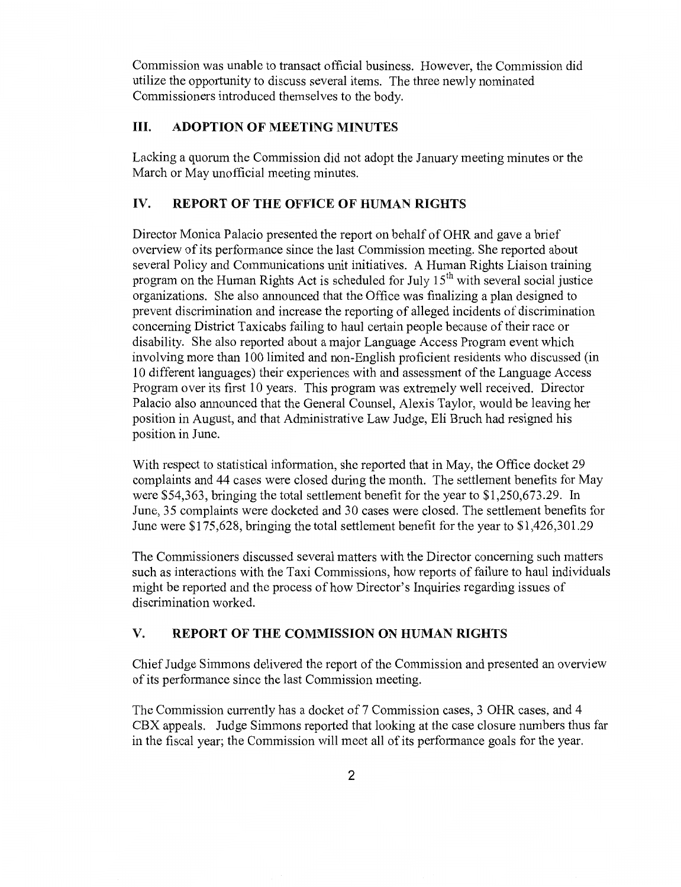Commission was unable to transact official business. However, the Commission did utilize the opportunity to discuss several items. The three newly nominated Commissioners introduced themselves to the body.

### III. ADOPTION OF MEETING MINUTES

Lacking a quorum the Commission did not adopt the January meeting minutes or the March or May unofficial meeting minutes.

### IV. REPORT OF THE OFFICE OF HUMAN RIGHTS

Director Monica Palacio presented the report on behalf of OHR and gave a brief overview of its performance since the last Commission meeting. She reported about several Policy and Communications unit initiatives. A Human Rights Liaison training program on the Human Rights Act is scheduled for July 15<sup>th</sup> with several social justice organizations. She also announced that the Office was finalizing a plan designed to prevent discrimination and increase the reporting of alleged incidents of discrimination concerning District Taxicabs failing to haul certain people because of their race or disability. She also reported about a major Language Access Program event which involving more than 100 limited and non-English proficient residents who discussed (in 10 different languages) their experiences with and assessment of the Language Access Program over its first 10 years. This program was extremely well received. Director Palacio also announced that the General Counsel, Alexis Taylor, would be leaving her position in August, and that Administrative Law Judge, Eli Bruch had resigned his position in June.

With respect to statistical information, she reported that in May, the Office docket 29 complaints and 44 cases were closed during the month. The settlement benefits for May were \$54,363, bringing the total settlement benefit for the year to \$1,250,673.29. In June, 35 complaints were docketed and 30 cases were closed. The settlement benefits for June were \$175,628, bringing the total settlement benefit for the year to \$1,426,301.29

The Commissioners discussed several matters with the Director concerning such matters such as interactions with the Taxi Commissions, how reports of failure to haul individuals might be reported and the process of how Director's Inquiries regarding issues of discrimination worked.

## V. **REPORT OF THE** COMMISSION ON HUMAN RIGHTS

Chief Judge Simmons delivered the report of the Commission and presented an overview of its performance since the last Commission meeting.

The Commission currently has a docket of 7 Commission cases, 3 OHR cases, and 4 CBX appeals. Judge Simmons reported that looking at the case closure numbers thus far in the fiscal year; the Commission will meet all of its performance goals for the year.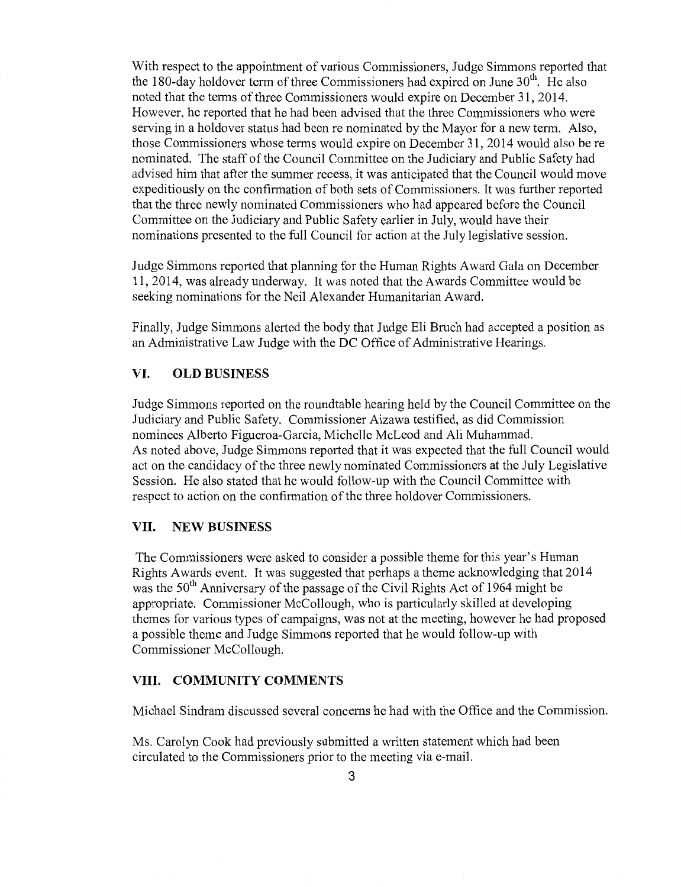With respect to the appointment of various Commissioners, Judge Simmons reported that the 180-day holdover term of three Commissioners had expired on June  $30<sup>th</sup>$ . He also noted that the terms of three Commissioners would expire on December 31, 2014. However, he reported that he had been advised that the three Commissioners who were serving in a holdover status had been re nominated by the Mayor for a new term. Also, those Commissioners whose terms would expire on December 31, 2014 would also be re nominated. The staff of the Council Committee on the Judiciary and Public Safety had advised him that after the summer recess, it was anticipated that the Council would move expeditiously on the confirmation of both sets of Commissioners. It was further reported that the three newly nominated Commissioners who had appeared before the Council Committee on the Judiciary and Public Safety earlier in July, would have their nominations presented to the full Council for action at the July legislative session.

Judge Simmons reported that planning for the Human Rights Award Gala on December 11, 2014, was already underway. It was noted that the Awards Committee would be seeking nominations for the Neil Alexander Humanitarian Award.

Finally, Judge Simmons alerted the body that Judge Eli Bruch had accepted a position as an Administrative Law Judge with the DC Office of Administrative Hearings.

#### VI. OLD BUSINESS

Judge Simmons reported on the roundtable hearing held by the Council Committee on the Judiciary and Public Safety. Commissioner Aizawa testified, as did Commission nominees Alberto Figueroa-Garcia, Michelle McLeod and Ali Muhammad. As noted above, Judge Simmons reported that it was expected that the full Council would act on the candidacy of the three newly nominated Commissioners at the July Legislative Session. He also stated that he would follow-up with the Council Committee with respect to action on the confirmation of the three holdover Commissioners.

#### VII. NEW BUSINESS

The Commissioners were asked to consider a possible theme for this year's Human Rights Awards event. It was suggested that perhaps a theme acknowledging that 2014 was the  $50<sup>th</sup>$  Anniversary of the passage of the Civil Rights Act of 1964 might be appropriate. Commissioner McCollough, who is particularly skilled at developing themes for various types of campaigns, was not at the meeting, however he had proposed a possible theme and Judge Simmons reported that he would follow-up with Commissioner McCollough.

#### VIII. COMMUNITY COMMENTS

Michael Sindram discussed several concerns he had with the Office and the Commission.

Ms. Carolyn Cook had previously submitted a written statement which had been circulated to the Commissioners prior to the meeting via e-mail.